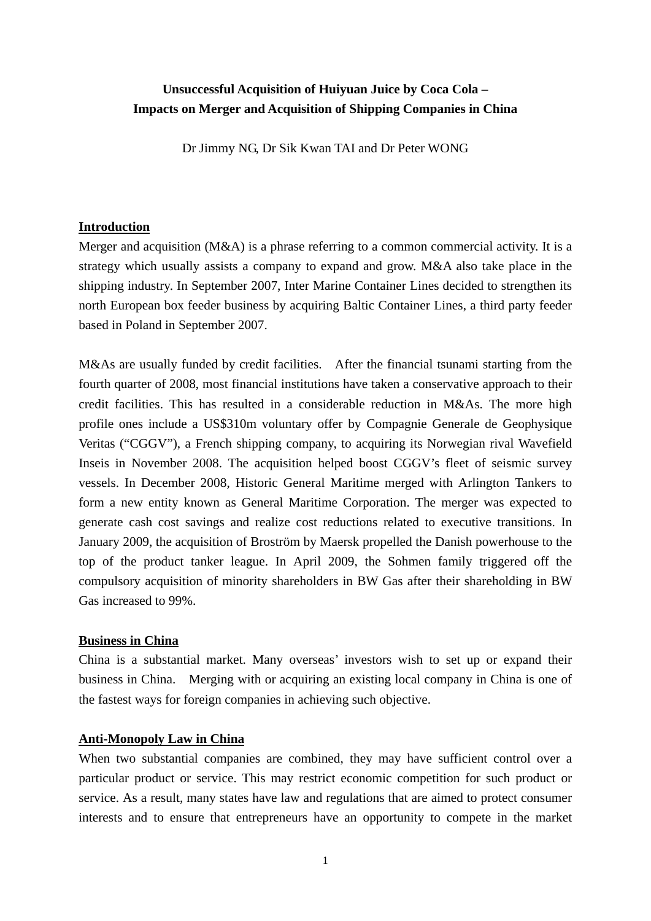# **Unsuccessful Acquisition of Huiyuan Juice by Coca Cola – Impacts on Merger and Acquisition of Shipping Companies in China**

Dr Jimmy NG, Dr Sik Kwan TAI and Dr Peter WONG

### **Introduction**

Merger and acquisition (M&A) is a phrase referring to a common commercial activity. It is a strategy which usually assists a company to expand and grow. M&A also take place in the shipping industry. In September 2007, Inter Marine Container Lines decided to strengthen its north European box feeder business by acquiring Baltic Container Lines, a third party feeder based in Poland in September 2007.

M&As are usually funded by credit facilities. After the financial tsunami starting from the fourth quarter of 2008, most financial institutions have taken a conservative approach to their credit facilities. This has resulted in a considerable reduction in M&As. The more high profile ones include a US\$310m voluntary offer by Compagnie Generale de Geophysique Veritas ("CGGV"), a French shipping company, to acquiring its Norwegian rival Wavefield Inseis in November 2008. The acquisition helped boost CGGV's fleet of seismic survey vessels. In December 2008, Historic General Maritime merged with Arlington Tankers to form a new entity known as General Maritime Corporation. The merger was expected to generate cash cost savings and realize cost reductions related to executive transitions. In January 2009, the acquisition of Broström by Maersk propelled the Danish powerhouse to the top of the product tanker league. In April 2009, the Sohmen family triggered off the compulsory acquisition of minority shareholders in BW Gas after their shareholding in BW Gas increased to 99%.

# **Business in China**

China is a substantial market. Many overseas' investors wish to set up or expand their business in China. Merging with or acquiring an existing local company in China is one of the fastest ways for foreign companies in achieving such objective.

# **Anti-Monopoly Law in China**

When two substantial companies are combined, they may have sufficient control over a particular product or service. This may restrict economic [competition](http://en.wikipedia.org/wiki/Competition) for such product or service. As a result, many states have law and regulations that are aimed to protect consumer interests and to ensure that entrepreneurs have an opportunity to compete in the [market](http://en.wikipedia.org/wiki/Market_economy)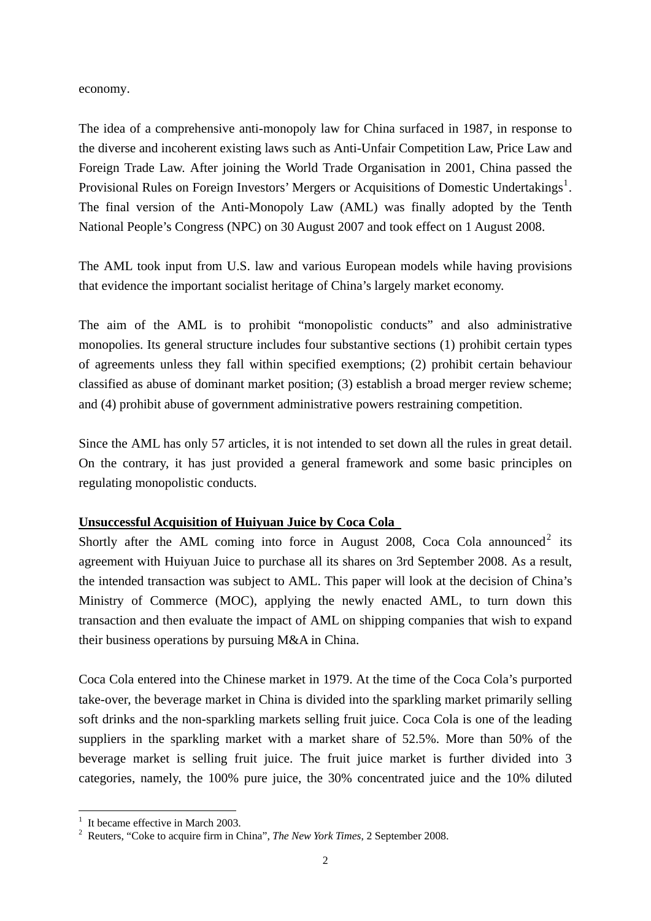#### [economy.](http://en.wikipedia.org/wiki/Market_economy)

The idea of a comprehensive anti-monopoly law for China surfaced in 1987, in response to the diverse and incoherent existing laws such as Anti-Unfair Competition Law, Price Law and Foreign Trade Law. After joining the World Trade Organisation in 2001, China passed the Provisional Rules on Foreign Investors' Mergers or Acquisitions of Domestic Undertakings<sup>[1](#page-1-0)</sup>. The final version of the Anti-Monopoly Law (AML) was finally adopted by the Tenth National People's Congress (NPC) on 30 August 2007 and took effect on 1 August 2008.

The AML took input from U.S. law and various European models while having provisions that evidence the important socialist heritage of China's largely market economy.

The aim of the AML is to prohibit "monopolistic conducts" and also administrative monopolies. Its general structure includes four substantive sections (1) prohibit certain types of agreements unless they fall within specified exemptions; (2) prohibit certain behaviour classified as abuse of dominant market position; (3) establish a broad merger review scheme; and (4) prohibit abuse of government administrative powers restraining competition.

Since the AML has only 57 articles, it is not intended to set down all the rules in great detail. On the contrary, it has just provided a general framework and some basic principles on regulating monopolistic conducts.

# **Unsuccessful Acquisition of Huiyuan Juice by Coca Cola**

Shortly after the AML coming into force in August [2](#page-1-1)008, Coca Cola announced<sup>2</sup> its agreement with Huiyuan Juice to purchase all its shares on 3rd September 2008. As a result, the intended transaction was subject to AML. This paper will look at the decision of China's Ministry of Commerce (MOC), applying the newly enacted AML, to turn down this transaction and then evaluate the impact of AML on shipping companies that wish to expand their business operations by pursuing M&A in China.

Coca Cola entered into the Chinese market in 1979. At the time of the Coca Cola's purported take-over, the beverage market in China is divided into the sparkling market primarily selling soft drinks and the non-sparkling markets selling fruit juice. Coca Cola is one of the leading suppliers in the sparkling market with a market share of 52.5%. More than 50% of the beverage market is selling fruit juice. The fruit juice market is further divided into 3 categories, namely, the 100% pure juice, the 30% concentrated juice and the 10% diluted

<span id="page-1-0"></span><sup>&</sup>lt;u>.</u> <sup>1</sup> It became effective in March 2003.

<span id="page-1-1"></span><sup>2</sup> Reuters, "Coke to acquire firm in China", *The New York Times*, 2 September 2008.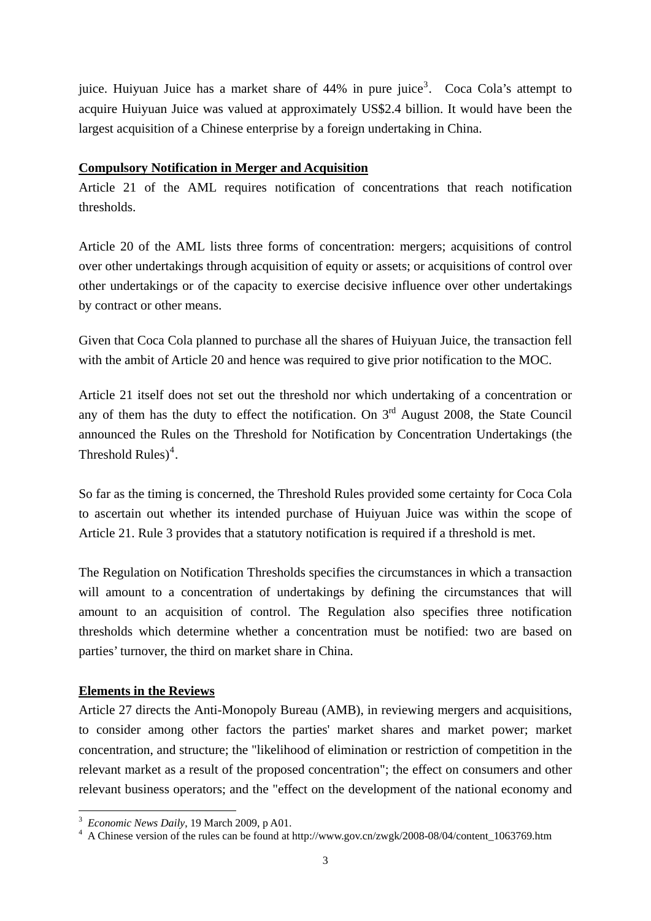juice. Huiyuan Juice has a market share of  $44\%$  in pure juice<sup>[3](#page-2-0)</sup>. Coca Cola's attempt to acquire Huiyuan Juice was valued at approximately US\$2.4 billion. It would have been the largest acquisition of a Chinese enterprise by a foreign undertaking in China.

#### **Compulsory Notification in Merger and Acquisition**

Article 21 of the AML requires notification of concentrations that reach notification thresholds.

Article 20 of the AML lists three forms of concentration: mergers; acquisitions of control over other undertakings through acquisition of equity or assets; or acquisitions of control over other undertakings or of the capacity to exercise decisive influence over other undertakings by contract or other means.

Given that Coca Cola planned to purchase all the shares of Huiyuan Juice, the transaction fell with the ambit of Article 20 and hence was required to give prior notification to the MOC.

Article 21 itself does not set out the threshold nor which undertaking of a concentration or any of them has the duty to effect the notification. On  $3<sup>rd</sup>$  August 2008, the State Council announced the Rules on the Threshold for Notification by Concentration Undertakings (the Threshold Rules)<sup>[4](#page-2-1)</sup>.

So far as the timing is concerned, the Threshold Rules provided some certainty for Coca Cola to ascertain out whether its intended purchase of Huiyuan Juice was within the scope of Article 21. Rule 3 provides that a statutory notification is required if a threshold is met.

The Regulation on Notification Thresholds specifies the circumstances in which a transaction will amount to a concentration of undertakings by defining the circumstances that will amount to an acquisition of control. The Regulation also specifies three notification thresholds which determine whether a concentration must be notified: two are based on parties' turnover, the third on market share in China.

# **Elements in the Reviews**

Article 27 directs the Anti-Monopoly Bureau (AMB), in reviewing mergers and acquisitions, to consider among other factors the parties' market shares and market power; market concentration, and structure; the "likelihood of elimination or restriction of competition in the relevant market as a result of the proposed concentration"; the effect on consumers and other relevant business operators; and the "effect on the development of the national economy and

<sup>&</sup>lt;u>.</u> <sup>3</sup> *Economic News Daily*, 19 March 2009, p A01.

<span id="page-2-1"></span><span id="page-2-0"></span><sup>&</sup>lt;sup>4</sup> A Chinese version of the rules can be found at http://www.gov.cn/zwgk/2008-08/04/content\_1063769.htm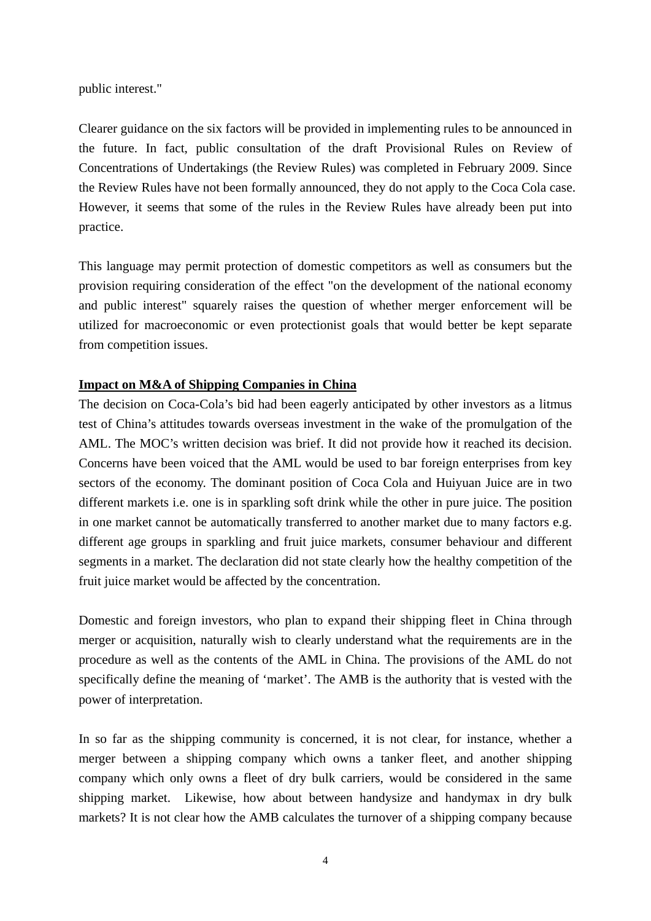public interest."

Clearer guidance on the six factors will be provided in implementing rules to be announced in the future. In fact, public consultation of the draft Provisional Rules on Review of Concentrations of Undertakings (the Review Rules) was completed in February 2009. Since the Review Rules have not been formally announced, they do not apply to the Coca Cola case. However, it seems that some of the rules in the Review Rules have already been put into practice.

This language may permit protection of domestic competitors as well as consumers but the provision requiring consideration of the effect "on the development of the national economy and public interest" squarely raises the question of whether merger enforcement will be utilized for macroeconomic or even protectionist goals that would better be kept separate from competition issues.

#### **Impact on M&A of Shipping Companies in China**

The decision on Coca-Cola's bid had been eagerly anticipated by other investors as a litmus test of China's attitudes towards overseas investment in the wake of the promulgation of the AML. The MOC's written decision was brief. It did not provide how it reached its decision. Concerns have been voiced that the AML would be used to bar foreign enterprises from key sectors of the economy. The dominant position of Coca Cola and Huiyuan Juice are in two different markets i.e. one is in sparkling soft drink while the other in pure juice. The position in one market cannot be automatically transferred to another market due to many factors e.g. different age groups in sparkling and fruit juice markets, consumer behaviour and different segments in a market. The declaration did not state clearly how the healthy competition of the fruit juice market would be affected by the concentration.

Domestic and foreign investors, who plan to expand their shipping fleet in China through merger or acquisition, naturally wish to clearly understand what the requirements are in the procedure as well as the contents of the AML in China. The provisions of the AML do not specifically define the meaning of 'market'. The AMB is the authority that is vested with the power of interpretation.

In so far as the shipping community is concerned, it is not clear, for instance, whether a merger between a shipping company which owns a tanker fleet, and another shipping company which only owns a fleet of dry bulk carriers, would be considered in the same shipping market. Likewise, how about between handysize and handymax in dry bulk markets? It is not clear how the AMB calculates the turnover of a shipping company because